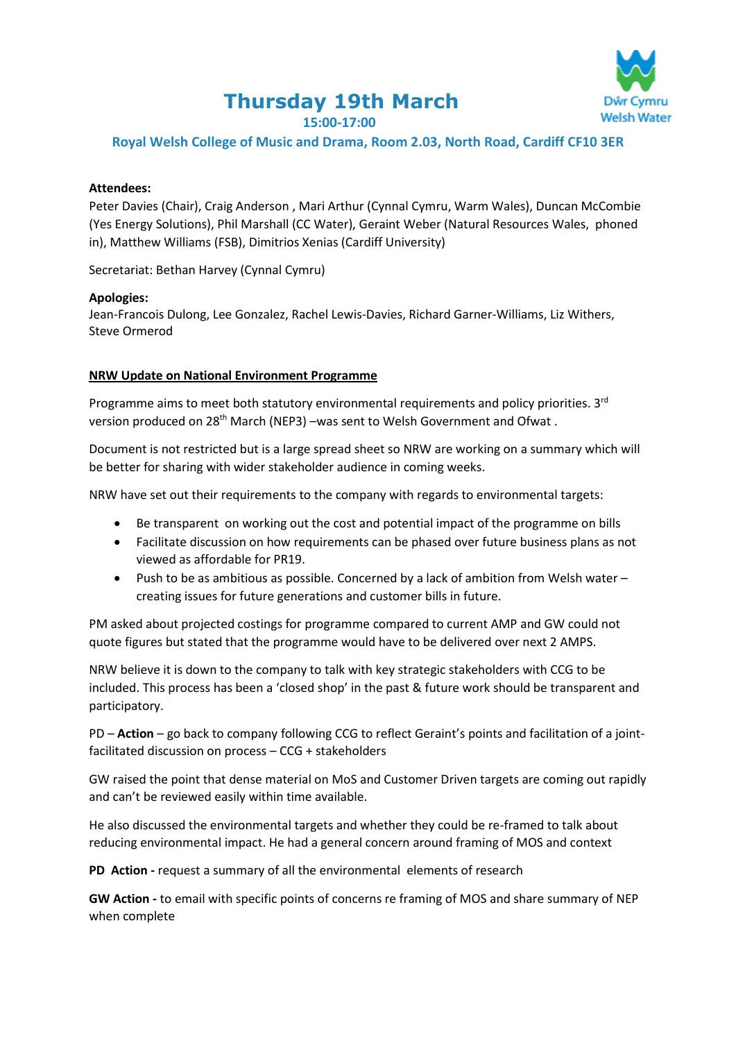# **Thursday 19th March**



**15:00-17:00**

# **Royal Welsh College of Music and Drama, Room 2.03, North Road, Cardiff CF10 3ER**

# **Attendees:**

Peter Davies (Chair), Craig Anderson , Mari Arthur (Cynnal Cymru, Warm Wales), Duncan McCombie (Yes Energy Solutions), Phil Marshall (CC Water), Geraint Weber (Natural Resources Wales, phoned in), Matthew Williams (FSB), Dimitrios Xenias (Cardiff University)

Secretariat: Bethan Harvey (Cynnal Cymru)

#### **Apologies:**

Jean-Francois Dulong, Lee Gonzalez, Rachel Lewis-Davies, Richard Garner-Williams, Liz Withers, Steve Ormerod

# **NRW Update on National Environment Programme**

Programme aims to meet both statutory environmental requirements and policy priorities. 3<sup>rd</sup> version produced on 28<sup>th</sup> March (NEP3) –was sent to Welsh Government and Ofwat.

Document is not restricted but is a large spread sheet so NRW are working on a summary which will be better for sharing with wider stakeholder audience in coming weeks.

NRW have set out their requirements to the company with regards to environmental targets:

- Be transparent on working out the cost and potential impact of the programme on bills
- Facilitate discussion on how requirements can be phased over future business plans as not viewed as affordable for PR19.
- Push to be as ambitious as possible. Concerned by a lack of ambition from Welsh water creating issues for future generations and customer bills in future.

PM asked about projected costings for programme compared to current AMP and GW could not quote figures but stated that the programme would have to be delivered over next 2 AMPS.

NRW believe it is down to the company to talk with key strategic stakeholders with CCG to be included. This process has been a 'closed shop' in the past & future work should be transparent and participatory.

PD – **Action** – go back to company following CCG to reflect Geraint's points and facilitation of a jointfacilitated discussion on process – CCG + stakeholders

GW raised the point that dense material on MoS and Customer Driven targets are coming out rapidly and can't be reviewed easily within time available.

He also discussed the environmental targets and whether they could be re-framed to talk about reducing environmental impact. He had a general concern around framing of MOS and context

**PD Action -** request a summary of all the environmental elements of research

**GW Action -** to email with specific points of concerns re framing of MOS and share summary of NEP when complete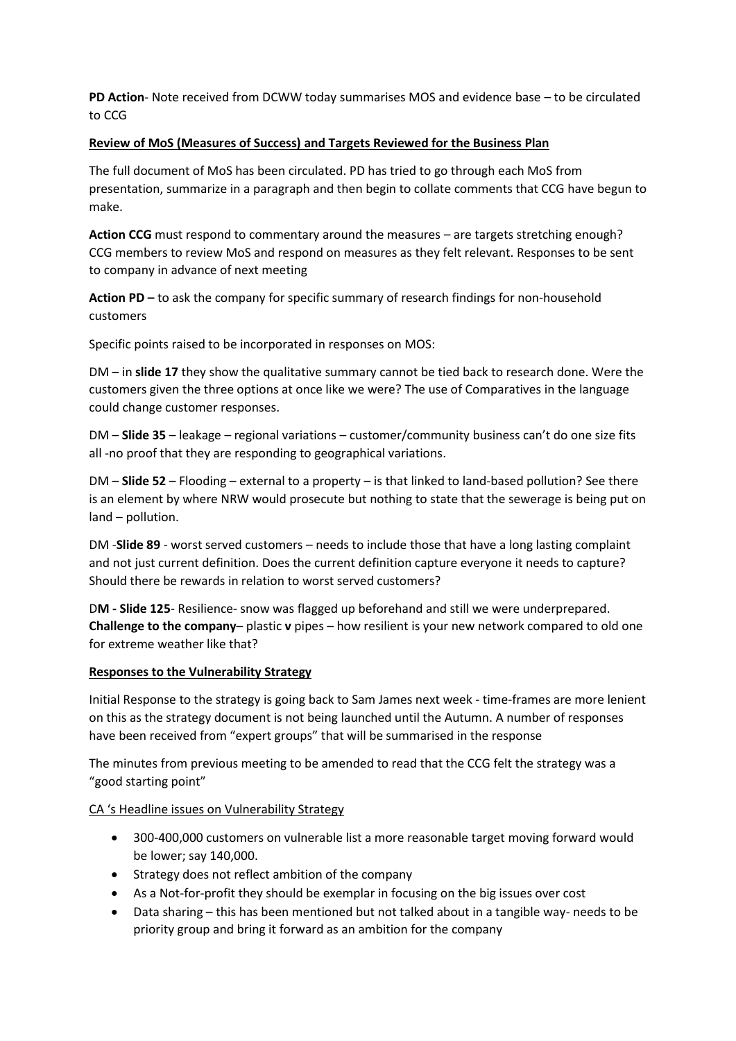**PD Action**- Note received from DCWW today summarises MOS and evidence base – to be circulated to CCG

## **Review of MoS (Measures of Success) and Targets Reviewed for the Business Plan**

The full document of MoS has been circulated. PD has tried to go through each MoS from presentation, summarize in a paragraph and then begin to collate comments that CCG have begun to make.

**Action CCG** must respond to commentary around the measures – are targets stretching enough? CCG members to review MoS and respond on measures as they felt relevant. Responses to be sent to company in advance of next meeting

**Action PD –** to ask the company for specific summary of research findings for non-household customers

Specific points raised to be incorporated in responses on MOS:

DM – in **slide 17** they show the qualitative summary cannot be tied back to research done. Were the customers given the three options at once like we were? The use of Comparatives in the language could change customer responses.

DM – **Slide 35** – leakage – regional variations – customer/community business can't do one size fits all -no proof that they are responding to geographical variations.

DM – **Slide 52** – Flooding – external to a property – is that linked to land-based pollution? See there is an element by where NRW would prosecute but nothing to state that the sewerage is being put on land – pollution.

DM -**Slide 89** - worst served customers – needs to include those that have a long lasting complaint and not just current definition. Does the current definition capture everyone it needs to capture? Should there be rewards in relation to worst served customers?

D**M - Slide 125**- Resilience- snow was flagged up beforehand and still we were underprepared. **Challenge to the company**– plastic **v** pipes – how resilient is your new network compared to old one for extreme weather like that?

#### **Responses to the Vulnerability Strategy**

Initial Response to the strategy is going back to Sam James next week - time-frames are more lenient on this as the strategy document is not being launched until the Autumn. A number of responses have been received from "expert groups" that will be summarised in the response

The minutes from previous meeting to be amended to read that the CCG felt the strategy was a "good starting point"

# CA 's Headline issues on Vulnerability Strategy

- 300-400,000 customers on vulnerable list a more reasonable target moving forward would be lower; say 140,000.
- Strategy does not reflect ambition of the company
- As a Not-for-profit they should be exemplar in focusing on the big issues over cost
- Data sharing this has been mentioned but not talked about in a tangible way- needs to be priority group and bring it forward as an ambition for the company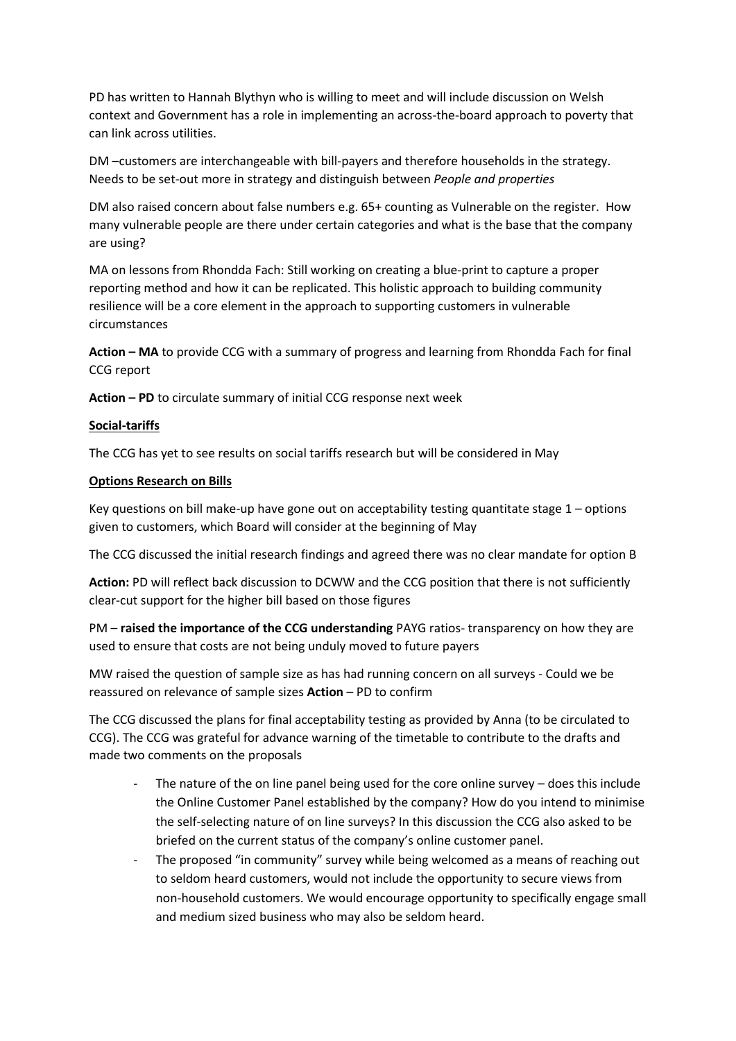PD has written to Hannah Blythyn who is willing to meet and will include discussion on Welsh context and Government has a role in implementing an across-the-board approach to poverty that can link across utilities.

DM –customers are interchangeable with bill-payers and therefore households in the strategy. Needs to be set-out more in strategy and distinguish between *People and properties*

DM also raised concern about false numbers e.g. 65+ counting as Vulnerable on the register. How many vulnerable people are there under certain categories and what is the base that the company are using?

MA on lessons from Rhondda Fach: Still working on creating a blue-print to capture a proper reporting method and how it can be replicated. This holistic approach to building community resilience will be a core element in the approach to supporting customers in vulnerable circumstances

**Action – MA** to provide CCG with a summary of progress and learning from Rhondda Fach for final CCG report

**Action – PD** to circulate summary of initial CCG response next week

# **Social-tariffs**

The CCG has yet to see results on social tariffs research but will be considered in May

#### **Options Research on Bills**

Key questions on bill make-up have gone out on acceptability testing quantitate stage  $1$  – options given to customers, which Board will consider at the beginning of May

The CCG discussed the initial research findings and agreed there was no clear mandate for option B

**Action:** PD will reflect back discussion to DCWW and the CCG position that there is not sufficiently clear-cut support for the higher bill based on those figures

PM – **raised the importance of the CCG understanding** PAYG ratios- transparency on how they are used to ensure that costs are not being unduly moved to future payers

MW raised the question of sample size as has had running concern on all surveys - Could we be reassured on relevance of sample sizes **Action** – PD to confirm

The CCG discussed the plans for final acceptability testing as provided by Anna (to be circulated to CCG). The CCG was grateful for advance warning of the timetable to contribute to the drafts and made two comments on the proposals

- The nature of the on line panel being used for the core online survey  $-$  does this include the Online Customer Panel established by the company? How do you intend to minimise the self-selecting nature of on line surveys? In this discussion the CCG also asked to be briefed on the current status of the company's online customer panel.
- The proposed "in community" survey while being welcomed as a means of reaching out to seldom heard customers, would not include the opportunity to secure views from non-household customers. We would encourage opportunity to specifically engage small and medium sized business who may also be seldom heard.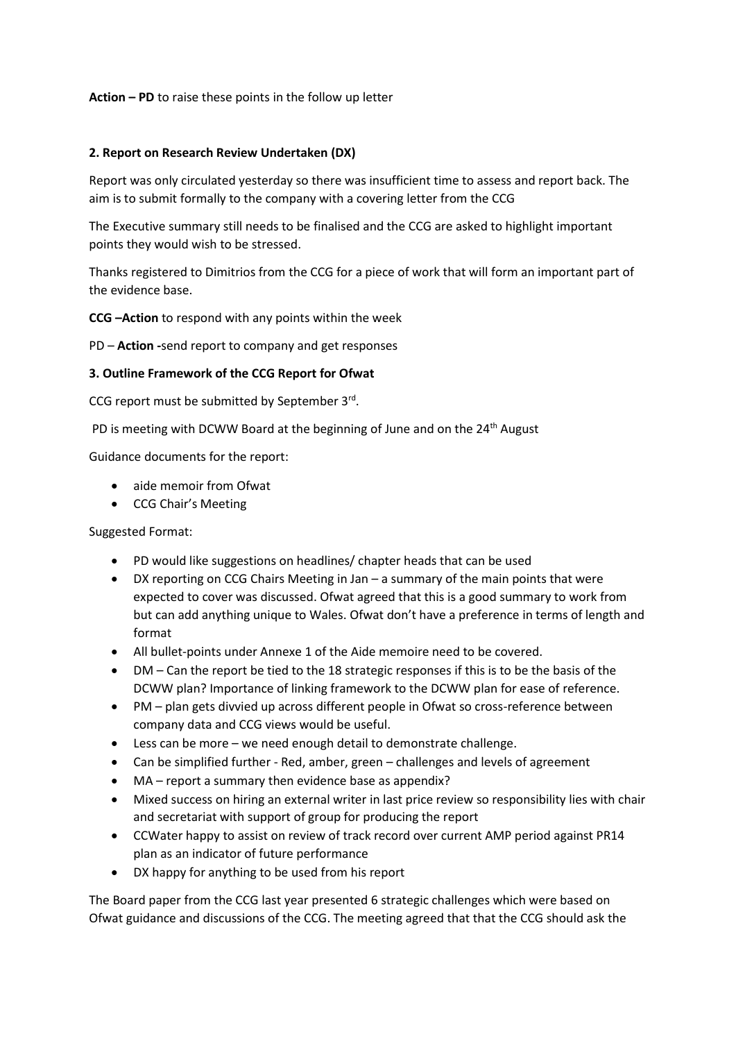## **Action – PD** to raise these points in the follow up letter

## **2. Report on Research Review Undertaken (DX)**

Report was only circulated yesterday so there was insufficient time to assess and report back. The aim is to submit formally to the company with a covering letter from the CCG

The Executive summary still needs to be finalised and the CCG are asked to highlight important points they would wish to be stressed.

Thanks registered to Dimitrios from the CCG for a piece of work that will form an important part of the evidence base.

**CCG –Action** to respond with any points within the week

PD – **Action -**send report to company and get responses

# **3. Outline Framework of the CCG Report for Ofwat**

CCG report must be submitted by September 3rd.

PD is meeting with DCWW Board at the beginning of June and on the 24<sup>th</sup> August

Guidance documents for the report:

- aide memoir from Ofwat
- CCG Chair's Meeting

Suggested Format:

- PD would like suggestions on headlines/ chapter heads that can be used
- DX reporting on CCG Chairs Meeting in Jan a summary of the main points that were expected to cover was discussed. Ofwat agreed that this is a good summary to work from but can add anything unique to Wales. Ofwat don't have a preference in terms of length and format
- All bullet-points under Annexe 1 of the Aide memoire need to be covered.
- DM Can the report be tied to the 18 strategic responses if this is to be the basis of the DCWW plan? Importance of linking framework to the DCWW plan for ease of reference.
- PM plan gets divvied up across different people in Ofwat so cross-reference between company data and CCG views would be useful.
- Less can be more we need enough detail to demonstrate challenge.
- Can be simplified further Red, amber, green challenges and levels of agreement
- MA report a summary then evidence base as appendix?
- Mixed success on hiring an external writer in last price review so responsibility lies with chair and secretariat with support of group for producing the report
- CCWater happy to assist on review of track record over current AMP period against PR14 plan as an indicator of future performance
- DX happy for anything to be used from his report

The Board paper from the CCG last year presented 6 strategic challenges which were based on Ofwat guidance and discussions of the CCG. The meeting agreed that that the CCG should ask the